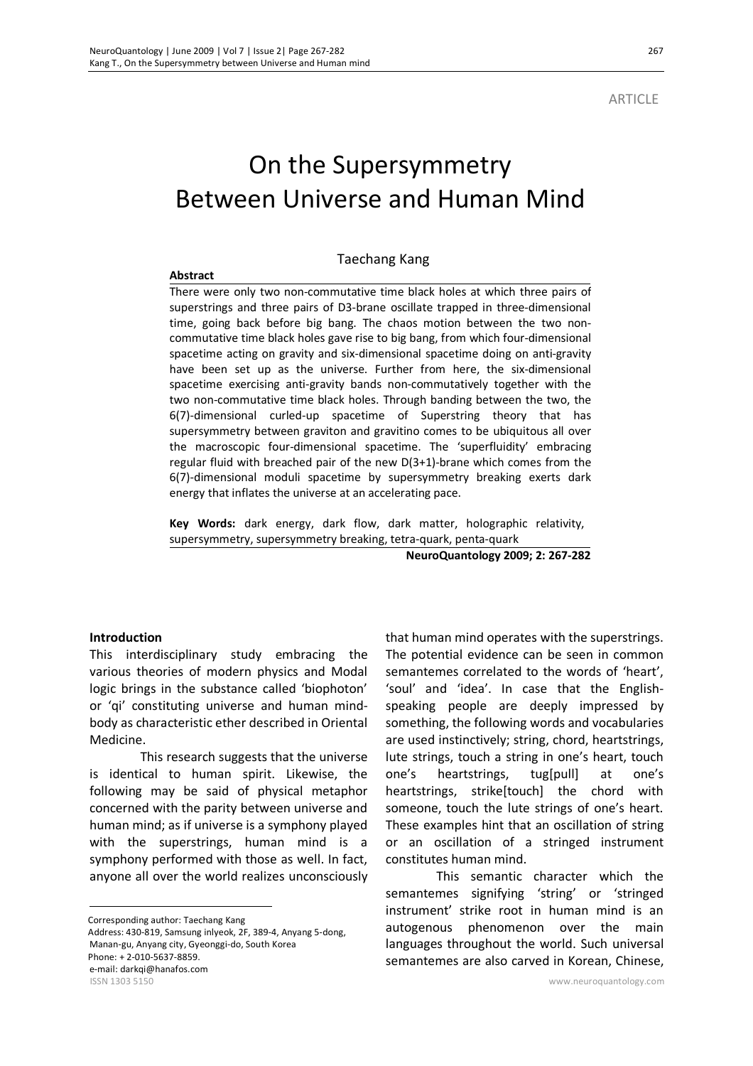**ARTICLE** 

# On the Supersymmetry Between Universe and Human Mind

#### Taechang Kang

#### **Abstract**

There were only two non-commutative time black holes at which three pairs of superstrings and three pairs of D3-brane oscillate trapped in three-dimensional time, going back before big bang. The chaos motion between the two noncommutative time black holes gave rise to big bang, from which four-dimensional spacetime acting on gravity and six-dimensional spacetime doing on anti-gravity have been set up as the universe. Further from here, the six-dimensional spacetime exercising anti-gravity bands non-commutatively together with the two non-commutative time black holes. Through banding between the two, the 6(7)-dimensional curled-up spacetime of Superstring theory that has supersymmetry between graviton and gravitino comes to be ubiquitous all over the macroscopic four-dimensional spacetime. The 'superfluidity' embracing regular fluid with breached pair of the new D(3+1)-brane which comes from the 6(7)-dimensional moduli spacetime by supersymmetry breaking exerts dark energy that inflates the universe at an accelerating pace.

**Key Words:** dark energy, dark flow, dark matter, holographic relativity, supersymmetry, supersymmetry breaking, tetra-quark, penta-quark

**NeuroQuantology 2009; 2: 267-282**

## **Introduction**

This interdisciplinary study embracing the various theories of modern physics and Modal logic brings in the substance called 'biophoton' or 'qi' constituting universe and human mindbody as characteristic ether described in Oriental Medicine.

This research suggests that the universe is identical to human spirit. Likewise, the following may be said of physical metaphor concerned with the parity between universe and human mind; as if universe is a symphony played with the superstrings, human mind is a symphony performed with those as well. In fact, anyone all over the world realizes unconsciously

Corresponding author: Taechang Kang

 $\overline{a}$ 

ISSN 1303 5150 www.neuroquantology.com Address: 430-819, Samsung inlyeok, 2F, 389-4, Anyang 5-dong, Manan-gu, Anyang city, Gyeonggi-do, South Korea Phone: + 2-010-5637-8859. e-mail: darkqi@hanafos.com

that human mind operates with the superstrings. The potential evidence can be seen in common semantemes correlated to the words of 'heart', 'soul' and 'idea'. In case that the Englishspeaking people are deeply impressed by something, the following words and vocabularies are used instinctively; string, chord, heartstrings, lute strings, touch a string in one's heart, touch one's heartstrings, tug[pull] at one's heartstrings, strike[touch] the chord with someone, touch the lute strings of one's heart. These examples hint that an oscillation of string or an oscillation of a stringed instrument constitutes human mind.

This semantic character which the semantemes signifying 'string' or 'stringed instrument' strike root in human mind is an autogenous phenomenon over the main languages throughout the world. Such universal semantemes are also carved in Korean, Chinese,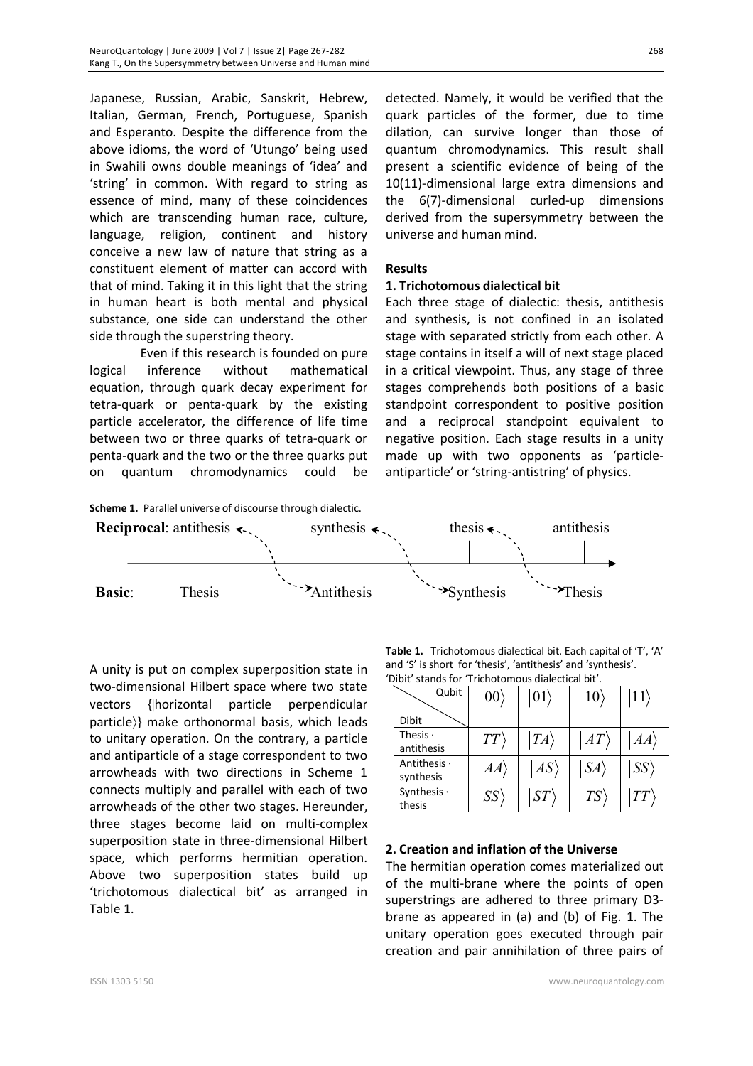Japanese, Russian, Arabic, Sanskrit, Hebrew, Italian, German, French, Portuguese, Spanish and Esperanto. Despite the difference from the above idioms, the word of 'Utungo' being used in Swahili owns double meanings of 'idea' and 'string' in common. With regard to string as essence of mind, many of these coincidences which are transcending human race, culture, language, religion, continent and history conceive a new law of nature that string as a constituent element of matter can accord with that of mind. Taking it in this light that the string in human heart is both mental and physical substance, one side can understand the other side through the superstring theory.

Even if this research is founded on pure logical inference without mathematical equation, through quark decay experiment for tetra-quark or penta-quark by the existing particle accelerator, the difference of life time between two or three quarks of tetra-quark or penta-quark and the two or the three quarks put on quantum chromodynamics could be

detected. Namely, it would be verified that the quark particles of the former, due to time dilation, can survive longer than those of quantum chromodynamics. This result shall present a scientific evidence of being of the 10(11)-dimensional large extra dimensions and the 6(7)-dimensional curled-up dimensions derived from the supersymmetry between the universe and human mind.

# **Results**

#### **1. Trichotomous dialectical bit**

Each three stage of dialectic: thesis, antithesis and synthesis, is not confined in an isolated stage with separated strictly from each other. A stage contains in itself a will of next stage placed in a critical viewpoint. Thus, any stage of three stages comprehends both positions of a basic standpoint correspondent to positive position and a reciprocal standpoint equivalent to negative position. Each stage results in a unity made up with two opponents as 'particleantiparticle' or 'string-antistring' of physics.



**Reciprocal:** antithesis  $\leftarrow$ , synthesis  $\leftarrow$ , thesis  $\leftarrow$ , antithesis Basic: Thesis **Antithesis** Synthesis Synthesis Synthesis

A unity is put on complex superposition state in two-dimensional Hilbert space where two state vectors {|horizontal particle perpendicular particle)} make orthonormal basis, which leads to unitary operation. On the contrary, a particle and antiparticle of a stage correspondent to two arrowheads with two directions in Scheme 1 connects multiply and parallel with each of two arrowheads of the other two stages. Hereunder, three stages become laid on multi-complex superposition state in three-dimensional Hilbert space, which performs hermitian operation. Above two superposition states build up 'trichotomous dialectical bit' as arranged in Table 1.

**Table 1.** Trichotomous dialectical bit. Each capital of 'T', 'A' and 'S' is short for 'thesis', 'antithesis' and 'synthesis'. 'Dibit' stands for 'Trichotomous dialectical bit'.

| Qubit                           | 00 <sub>1</sub> | $ 01\rangle$ | $ 10\rangle$ |                      |
|---------------------------------|-----------------|--------------|--------------|----------------------|
| <b>Dibit</b>                    |                 |              |              |                      |
| Thesis $\cdot$<br>antithesis    | TT              | $TA\rangle$  | AT           | AA)                  |
| Antithesis $\cdot$<br>synthesis | AA              | AS           | $ SA\rangle$ | $\langle SS \rangle$ |
| Synthesis $\cdot$<br>thesis     | SS'             | ST           | TS           | TT                   |

## **2. Creation and inflation of the Universe**

The hermitian operation comes materialized out of the multi-brane where the points of open superstrings are adhered to three primary D3 brane as appeared in (a) and (b) of Fig. 1. The unitary operation goes executed through pair creation and pair annihilation of three pairs of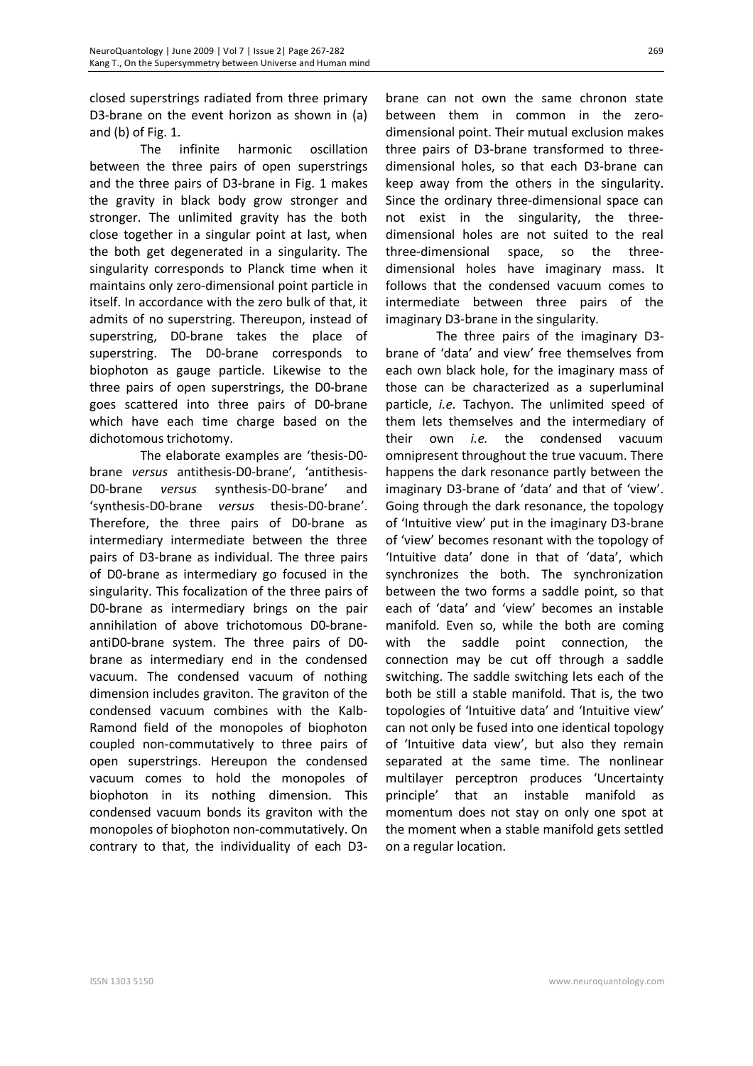closed superstrings radiated from three primary D3-brane on the event horizon as shown in (a) and (b) of Fig. 1.

The infinite harmonic oscillation between the three pairs of open superstrings and the three pairs of D3-brane in Fig. 1 makes the gravity in black body grow stronger and stronger. The unlimited gravity has the both close together in a singular point at last, when the both get degenerated in a singularity. The singularity corresponds to Planck time when it maintains only zero-dimensional point particle in itself. In accordance with the zero bulk of that, it admits of no superstring. Thereupon, instead of superstring, D0-brane takes the place of superstring. The D0-brane corresponds to biophoton as gauge particle. Likewise to the three pairs of open superstrings, the D0-brane goes scattered into three pairs of D0-brane which have each time charge based on the dichotomous trichotomy.

The elaborate examples are 'thesis-D0 brane *versus* antithesis-D0-brane', 'antithesis-D0-brane *versus* synthesis-D0-brane' and 'synthesis-D0-brane *versus* thesis-D0-brane'. Therefore, the three pairs of D0-brane as intermediary intermediate between the three pairs of D3-brane as individual. The three pairs of D0-brane as intermediary go focused in the singularity. This focalization of the three pairs of D0-brane as intermediary brings on the pair annihilation of above trichotomous D0-braneantiD0-brane system. The three pairs of D0 brane as intermediary end in the condensed vacuum. The condensed vacuum of nothing dimension includes graviton. The graviton of the condensed vacuum combines with the Kalb-Ramond field of the monopoles of biophoton coupled non-commutatively to three pairs of open superstrings. Hereupon the condensed vacuum comes to hold the monopoles of biophoton in its nothing dimension. This condensed vacuum bonds its graviton with the monopoles of biophoton non-commutatively. On contrary to that, the individuality of each D3-

brane can not own the same chronon state between them in common in the zerodimensional point. Their mutual exclusion makes three pairs of D3-brane transformed to threedimensional holes, so that each D3-brane can keep away from the others in the singularity. Since the ordinary three-dimensional space can not exist in the singularity, the threedimensional holes are not suited to the real three-dimensional space, so the threedimensional holes have imaginary mass. It follows that the condensed vacuum comes to intermediate between three pairs of the imaginary D3-brane in the singularity.

The three pairs of the imaginary D3 brane of 'data' and view' free themselves from each own black hole, for the imaginary mass of those can be characterized as a superluminal particle, *i.e.* Tachyon. The unlimited speed of them lets themselves and the intermediary of their own *i.e.* the condensed vacuum omnipresent throughout the true vacuum. There happens the dark resonance partly between the imaginary D3-brane of 'data' and that of 'view'. Going through the dark resonance, the topology of 'Intuitive view' put in the imaginary D3-brane of 'view' becomes resonant with the topology of 'Intuitive data' done in that of 'data', which synchronizes the both. The synchronization between the two forms a saddle point, so that each of 'data' and 'view' becomes an instable manifold. Even so, while the both are coming with the saddle point connection, the connection may be cut off through a saddle switching. The saddle switching lets each of the both be still a stable manifold. That is, the two topologies of 'Intuitive data' and 'Intuitive view' can not only be fused into one identical topology of 'Intuitive data view', but also they remain separated at the same time. The nonlinear multilayer perceptron produces 'Uncertainty principle' that an instable manifold as momentum does not stay on only one spot at the moment when a stable manifold gets settled on a regular location.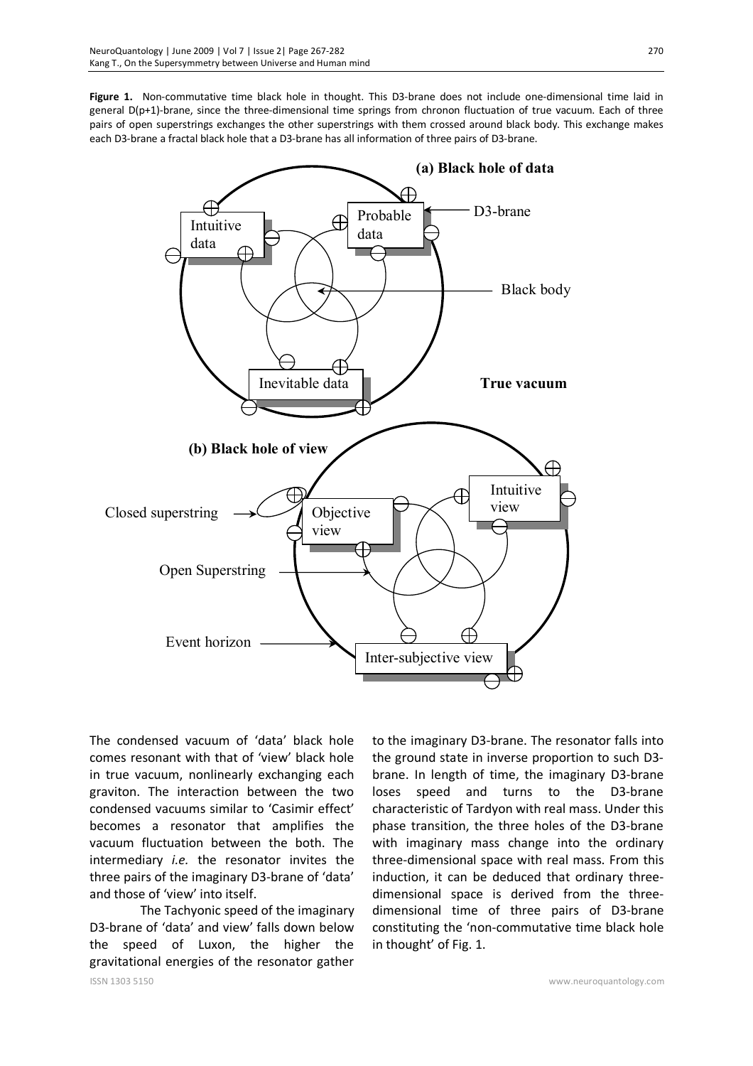**Figure 1.** Non-commutative time black hole in thought. This D3-brane does not include one-dimensional time laid in general D(p+1)-brane, since the three-dimensional time springs from chronon fluctuation of true vacuum. Each of three pairs of open superstrings exchanges the other superstrings with them crossed around black body. This exchange makes each D3-brane a fractal black hole that a D3-brane has all information of three pairs of D3-brane.



The condensed vacuum of 'data' black hole comes resonant with that of 'view' black hole in true vacuum, nonlinearly exchanging each graviton. The interaction between the two condensed vacuums similar to 'Casimir effect' becomes a resonator that amplifies the vacuum fluctuation between the both. The intermediary *i.e.* the resonator invites the three pairs of the imaginary D3-brane of 'data' and those of 'view' into itself.

The Tachyonic speed of the imaginary D3-brane of 'data' and view' falls down below the speed of Luxon, the higher the gravitational energies of the resonator gather to the imaginary D3-brane. The resonator falls into the ground state in inverse proportion to such D3 brane. In length of time, the imaginary D3-brane loses speed and turns to the D3-brane characteristic of Tardyon with real mass. Under this phase transition, the three holes of the D3-brane with imaginary mass change into the ordinary three-dimensional space with real mass. From this induction, it can be deduced that ordinary threedimensional space is derived from the threedimensional time of three pairs of D3-brane constituting the 'non-commutative time black hole in thought' of Fig. 1.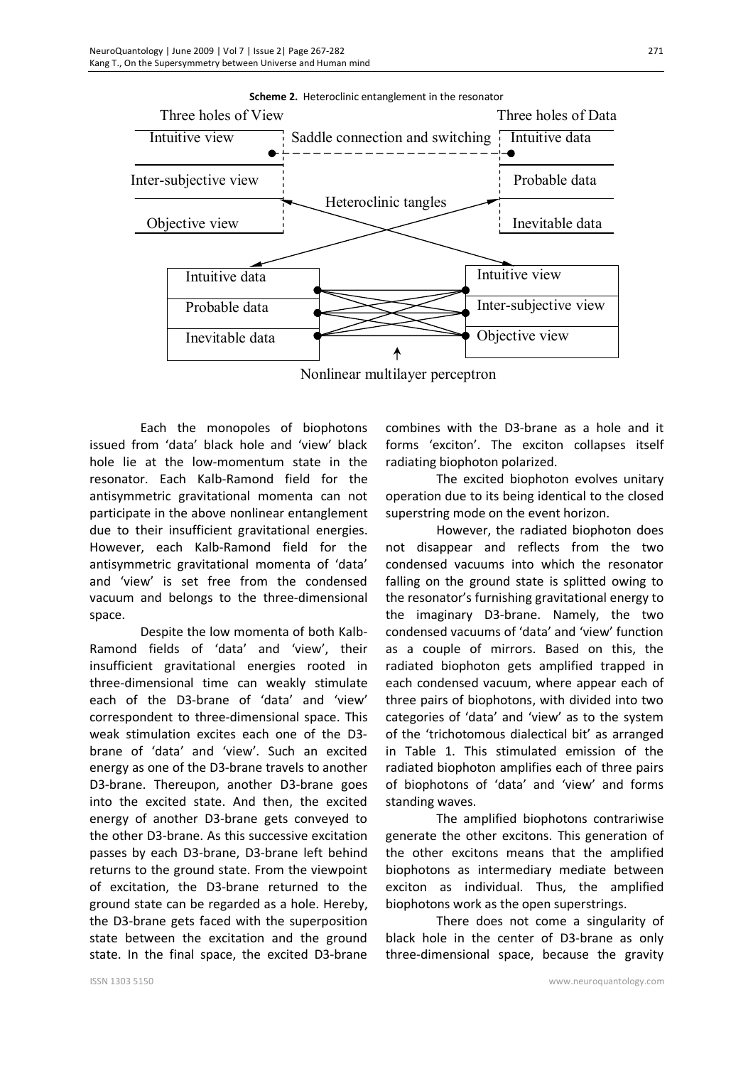![](_page_4_Figure_1.jpeg)

**Scheme 2.** Heteroclinic entanglement in the resonator

Nonlinear multilayer perceptron

Each the monopoles of biophotons issued from 'data' black hole and 'view' black hole lie at the low-momentum state in the resonator. Each Kalb-Ramond field for the antisymmetric gravitational momenta can not participate in the above nonlinear entanglement due to their insufficient gravitational energies. However, each Kalb-Ramond field for the antisymmetric gravitational momenta of 'data' and 'view' is set free from the condensed vacuum and belongs to the three-dimensional space.

Despite the low momenta of both Kalb-Ramond fields of 'data' and 'view', their insufficient gravitational energies rooted in three-dimensional time can weakly stimulate each of the D3-brane of 'data' and 'view' correspondent to three-dimensional space. This weak stimulation excites each one of the D3 brane of 'data' and 'view'. Such an excited energy as one of the D3-brane travels to another D3-brane. Thereupon, another D3-brane goes into the excited state. And then, the excited energy of another D3-brane gets conveyed to the other D3-brane. As this successive excitation passes by each D3-brane, D3-brane left behind returns to the ground state. From the viewpoint of excitation, the D3-brane returned to the ground state can be regarded as a hole. Hereby, the D3-brane gets faced with the superposition state between the excitation and the ground state. In the final space, the excited D3-brane

combines with the D3-brane as a hole and it forms 'exciton'. The exciton collapses itself radiating biophoton polarized.

The excited biophoton evolves unitary operation due to its being identical to the closed superstring mode on the event horizon.

However, the radiated biophoton does not disappear and reflects from the two condensed vacuums into which the resonator falling on the ground state is splitted owing to the resonator's furnishing gravitational energy to the imaginary D3-brane. Namely, the two condensed vacuums of 'data' and 'view' function as a couple of mirrors. Based on this, the radiated biophoton gets amplified trapped in each condensed vacuum, where appear each of three pairs of biophotons, with divided into two categories of 'data' and 'view' as to the system of the 'trichotomous dialectical bit' as arranged in Table 1. This stimulated emission of the radiated biophoton amplifies each of three pairs of biophotons of 'data' and 'view' and forms standing waves.

The amplified biophotons contrariwise generate the other excitons. This generation of the other excitons means that the amplified biophotons as intermediary mediate between exciton as individual. Thus, the amplified biophotons work as the open superstrings.

There does not come a singularity of black hole in the center of D3-brane as only three-dimensional space, because the gravity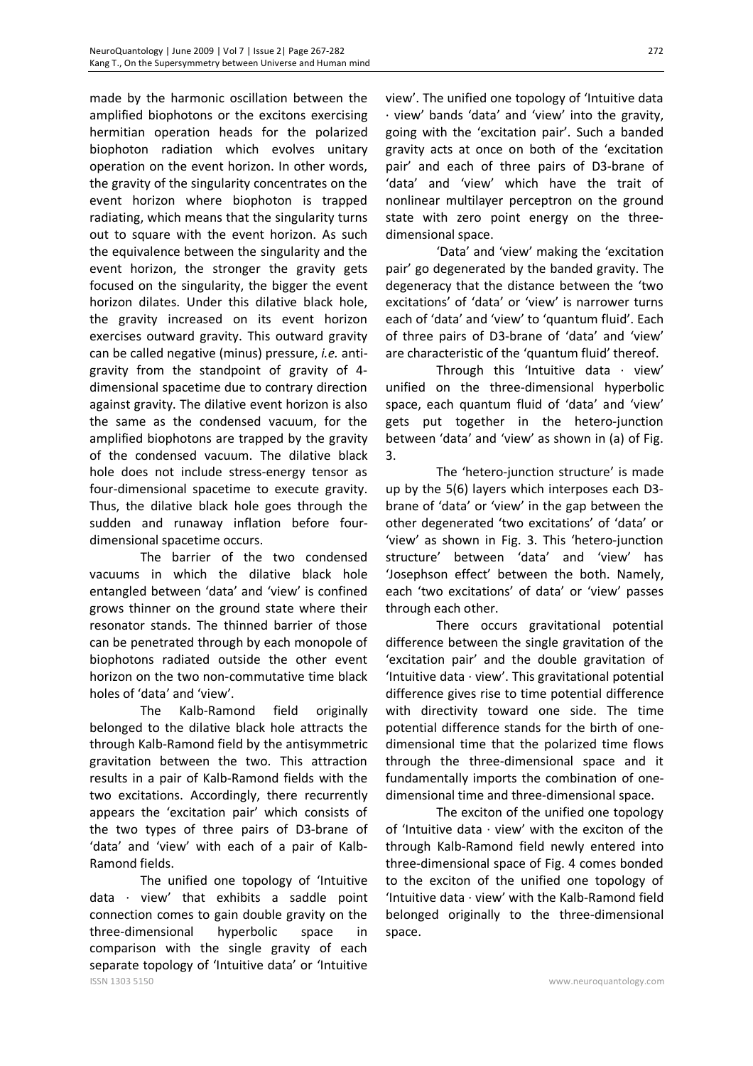made by the harmonic oscillation between the amplified biophotons or the excitons exercising hermitian operation heads for the polarized biophoton radiation which evolves unitary operation on the event horizon. In other words, the gravity of the singularity concentrates on the event horizon where biophoton is trapped radiating, which means that the singularity turns out to square with the event horizon. As such the equivalence between the singularity and the event horizon, the stronger the gravity gets focused on the singularity, the bigger the event horizon dilates. Under this dilative black hole, the gravity increased on its event horizon exercises outward gravity. This outward gravity can be called negative (minus) pressure, *i.e.* antigravity from the standpoint of gravity of 4 dimensional spacetime due to contrary direction against gravity. The dilative event horizon is also the same as the condensed vacuum, for the amplified biophotons are trapped by the gravity of the condensed vacuum. The dilative black hole does not include stress-energy tensor as four-dimensional spacetime to execute gravity. Thus, the dilative black hole goes through the sudden and runaway inflation before fourdimensional spacetime occurs.

The barrier of the two condensed vacuums in which the dilative black hole entangled between 'data' and 'view' is confined grows thinner on the ground state where their resonator stands. The thinned barrier of those can be penetrated through by each monopole of biophotons radiated outside the other event horizon on the two non-commutative time black holes of 'data' and 'view'.

The Kalb-Ramond field originally belonged to the dilative black hole attracts the through Kalb-Ramond field by the antisymmetric gravitation between the two. This attraction results in a pair of Kalb-Ramond fields with the two excitations. Accordingly, there recurrently appears the 'excitation pair' which consists of the two types of three pairs of D3-brane of 'data' and 'view' with each of a pair of Kalb-Ramond fields.

ISSN 1303 5150 www.neuroquantology.com The unified one topology of 'Intuitive data · view' that exhibits a saddle point connection comes to gain double gravity on the three-dimensional hyperbolic space in comparison with the single gravity of each separate topology of 'Intuitive data' or 'Intuitive

view'. The unified one topology of 'Intuitive data · view' bands 'data' and 'view' into the gravity, going with the 'excitation pair'. Such a banded gravity acts at once on both of the 'excitation pair' and each of three pairs of D3-brane of 'data' and 'view' which have the trait of nonlinear multilayer perceptron on the ground state with zero point energy on the threedimensional space.

'Data' and 'view' making the 'excitation pair' go degenerated by the banded gravity. The degeneracy that the distance between the 'two excitations' of 'data' or 'view' is narrower turns each of 'data' and 'view' to 'quantum fluid'. Each of three pairs of D3-brane of 'data' and 'view' are characteristic of the 'quantum fluid' thereof.

Through this 'Intuitive data  $\cdot$  view' unified on the three-dimensional hyperbolic space, each quantum fluid of 'data' and 'view' gets put together in the hetero-junction between 'data' and 'view' as shown in (a) of Fig. 3.

The 'hetero-junction structure' is made up by the 5(6) layers which interposes each D3 brane of 'data' or 'view' in the gap between the other degenerated 'two excitations' of 'data' or 'view' as shown in Fig. 3. This 'hetero-junction structure' between 'data' and 'view' has 'Josephson effect' between the both. Namely, each 'two excitations' of data' or 'view' passes through each other.

There occurs gravitational potential difference between the single gravitation of the 'excitation pair' and the double gravitation of 'Intuitive data · view'. This gravitational potential difference gives rise to time potential difference with directivity toward one side. The time potential difference stands for the birth of onedimensional time that the polarized time flows through the three-dimensional space and it fundamentally imports the combination of onedimensional time and three-dimensional space.

The exciton of the unified one topology of 'Intuitive data · view' with the exciton of the through Kalb-Ramond field newly entered into three-dimensional space of Fig. 4 comes bonded to the exciton of the unified one topology of 'Intuitive data · view' with the Kalb-Ramond field belonged originally to the three-dimensional space.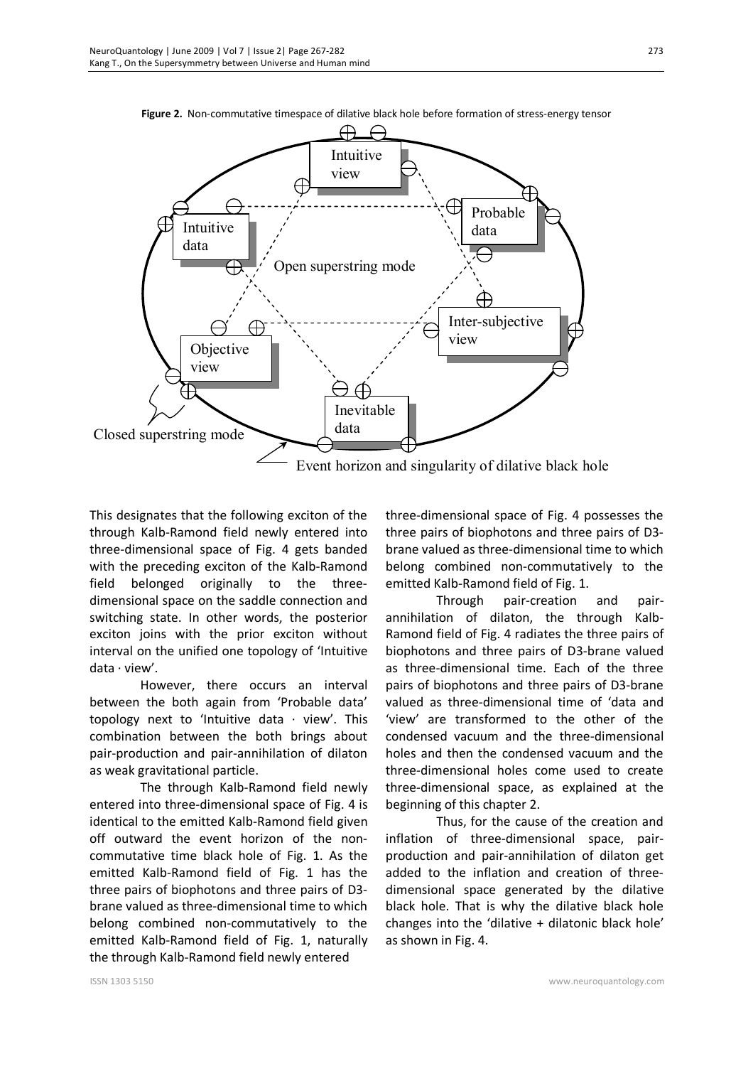**Figure 2.** Non-commutative timespace of dilative black hole before formation of stress-energy tensor

![](_page_6_Figure_2.jpeg)

This designates that the following exciton of the through Kalb-Ramond field newly entered into three-dimensional space of Fig. 4 gets banded with the preceding exciton of the Kalb-Ramond field belonged originally to the threedimensional space on the saddle connection and switching state. In other words, the posterior exciton joins with the prior exciton without interval on the unified one topology of 'Intuitive data · view'.

However, there occurs an interval between the both again from 'Probable data' topology next to 'Intuitive data  $\cdot$  view'. This combination between the both brings about pair-production and pair-annihilation of dilaton as weak gravitational particle.

The through Kalb-Ramond field newly entered into three-dimensional space of Fig. 4 is identical to the emitted Kalb-Ramond field given off outward the event horizon of the noncommutative time black hole of Fig. 1. As the emitted Kalb-Ramond field of Fig. 1 has the three pairs of biophotons and three pairs of D3 brane valued as three-dimensional time to which belong combined non-commutatively to the emitted Kalb-Ramond field of Fig. 1, naturally the through Kalb-Ramond field newly entered

three-dimensional space of Fig. 4 possesses the three pairs of biophotons and three pairs of D3 brane valued as three-dimensional time to which belong combined non-commutatively to the emitted Kalb-Ramond field of Fig. 1.

Through pair-creation and pairannihilation of dilaton, the through Kalb-Ramond field of Fig. 4 radiates the three pairs of biophotons and three pairs of D3-brane valued as three-dimensional time. Each of the three pairs of biophotons and three pairs of D3-brane valued as three-dimensional time of 'data and 'view' are transformed to the other of the condensed vacuum and the three-dimensional holes and then the condensed vacuum and the three-dimensional holes come used to create three-dimensional space, as explained at the beginning of this chapter 2.

Thus, for the cause of the creation and inflation of three-dimensional space, pairproduction and pair-annihilation of dilaton get added to the inflation and creation of threedimensional space generated by the dilative black hole. That is why the dilative black hole changes into the 'dilative + dilatonic black hole' as shown in Fig. 4.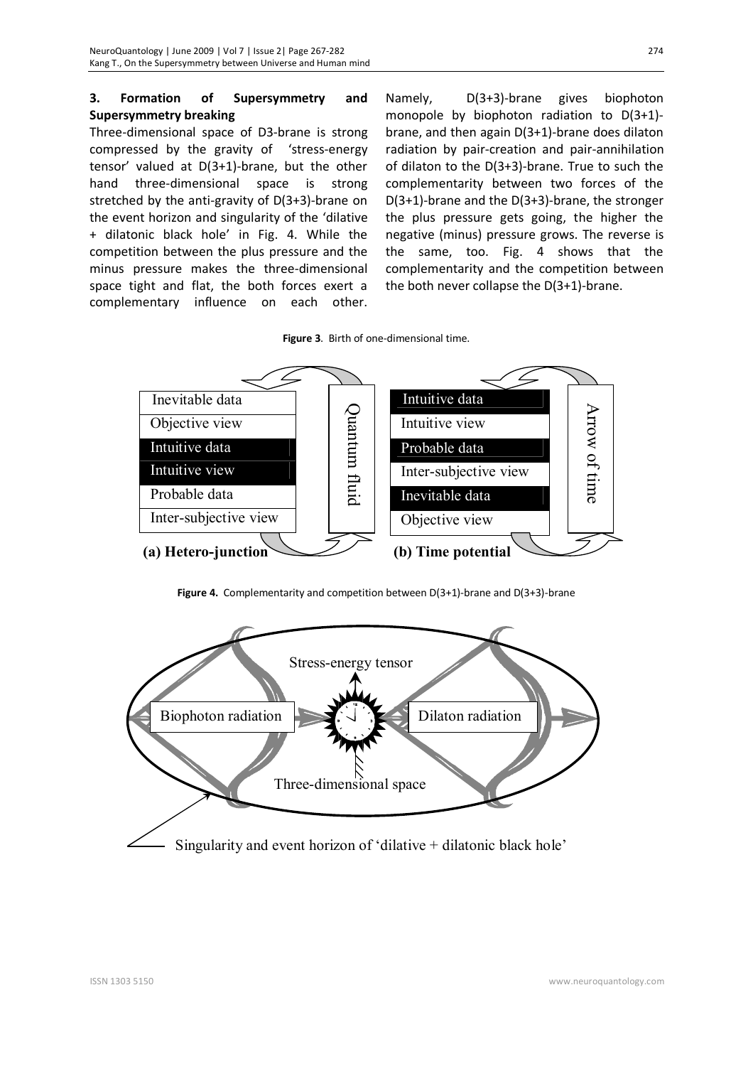# **3. Formation of Supersymmetry and Supersymmetry breaking**

Three-dimensional space of D3-brane is strong compressed by the gravity of 'stress-energy tensor' valued at D(3+1)-brane, but the other hand three-dimensional space is strong stretched by the anti-gravity of D(3+3)-brane on the event horizon and singularity of the 'dilative + dilatonic black hole' in Fig. 4. While the competition between the plus pressure and the minus pressure makes the three-dimensional space tight and flat, the both forces exert a complementary influence on each other.

Namely, D(3+3)-brane gives biophoton monopole by biophoton radiation to D(3+1) brane, and then again D(3+1)-brane does dilaton radiation by pair-creation and pair-annihilation of dilaton to the D(3+3)-brane. True to such the complementarity between two forces of the D(3+1)-brane and the D(3+3)-brane, the stronger the plus pressure gets going, the higher the negative (minus) pressure grows. The reverse is the same, too. Fig. 4 shows that the complementarity and the competition between the both never collapse the D(3+1)-brane.

**Figure 3**. Birth of one-dimensional time.

![](_page_7_Figure_5.jpeg)

**Figure 4.** Complementarity and competition between D(3+1)-brane and D(3+3)-brane

![](_page_7_Figure_7.jpeg)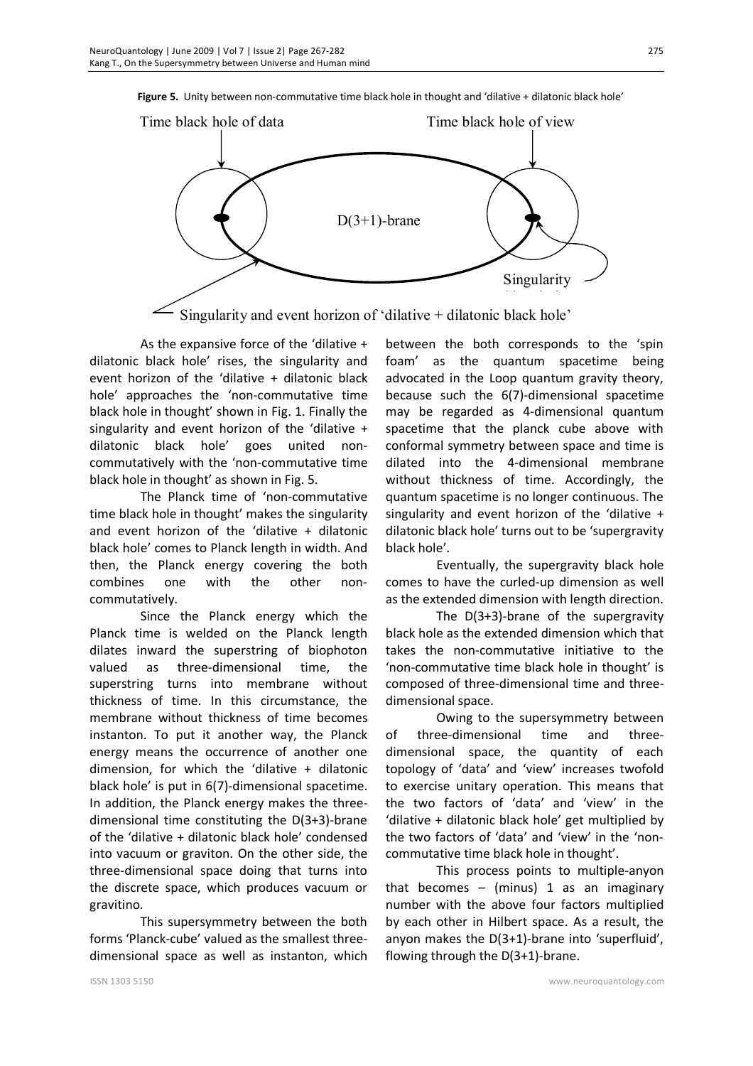**Figure 5.** Unity between non-commutative time black hole in thought and 'dilative + dilatonic black hole'

![](_page_8_Figure_2.jpeg)

Singularity and event horizon of 'dilative + dilatonic black hole'

As the expansive force of the 'dilative + dilatonic black hole' rises, the singularity and event horizon of the 'dilative + dilatonic black hole' approaches the 'non-commutative time black hole in thought' shown in Fig. 1. Finally the singularity and event horizon of the 'dilative + dilatonic black hole' goes united noncommutatively with the 'non-commutative time black hole in thought' as shown in Fig. 5.

The Planck time of 'non-commutative time black hole in thought' makes the singularity and event horizon of the 'dilative + dilatonic black hole' comes to Planck length in width. And then, the Planck energy covering the both combines one with the other noncommutatively.

Since the Planck energy which the Planck time is welded on the Planck length dilates inward the superstring of biophoton valued as three-dimensional time, the superstring turns into membrane without thickness of time. In this circumstance, the membrane without thickness of time becomes instanton. To put it another way, the Planck energy means the occurrence of another one dimension, for which the 'dilative + dilatonic black hole' is put in 6(7)-dimensional spacetime. In addition, the Planck energy makes the threedimensional time constituting the D(3+3)-brane of the 'dilative + dilatonic black hole' condensed into vacuum or graviton. On the other side, the three-dimensional space doing that turns into the discrete space, which produces vacuum or gravitino.

This supersymmetry between the both forms 'Planck-cube' valued as the smallest threedimensional space as well as instanton, which between the both corresponds to the 'spin foam' as the quantum spacetime being advocated in the Loop quantum gravity theory, because such the 6(7)-dimensional spacetime may be regarded as 4-dimensional quantum spacetime that the planck cube above with conformal symmetry between space and time is dilated into the 4-dimensional membrane without thickness of time. Accordingly, the quantum spacetime is no longer continuous. The singularity and event horizon of the 'dilative + dilatonic black hole' turns out to be 'supergravity black hole'.

Eventually, the supergravity black hole comes to have the curled-up dimension as well as the extended dimension with length direction.

The D(3+3)-brane of the supergravity black hole as the extended dimension which that takes the non-commutative initiative to the 'non-commutative time black hole in thought' is composed of three-dimensional time and threedimensional space.

Owing to the supersymmetry between of three-dimensional time and threedimensional space, the quantity of each topology of 'data' and 'view' increases twofold to exercise unitary operation. This means that the two factors of 'data' and 'view' in the 'dilative + dilatonic black hole' get multiplied by the two factors of 'data' and 'view' in the 'noncommutative time black hole in thought'.

This process points to multiple-anyon that becomes  $-$  (minus) 1 as an imaginary number with the above four factors multiplied by each other in Hilbert space. As a result, the anyon makes the D(3+1)-brane into 'superfluid', flowing through the D(3+1)-brane.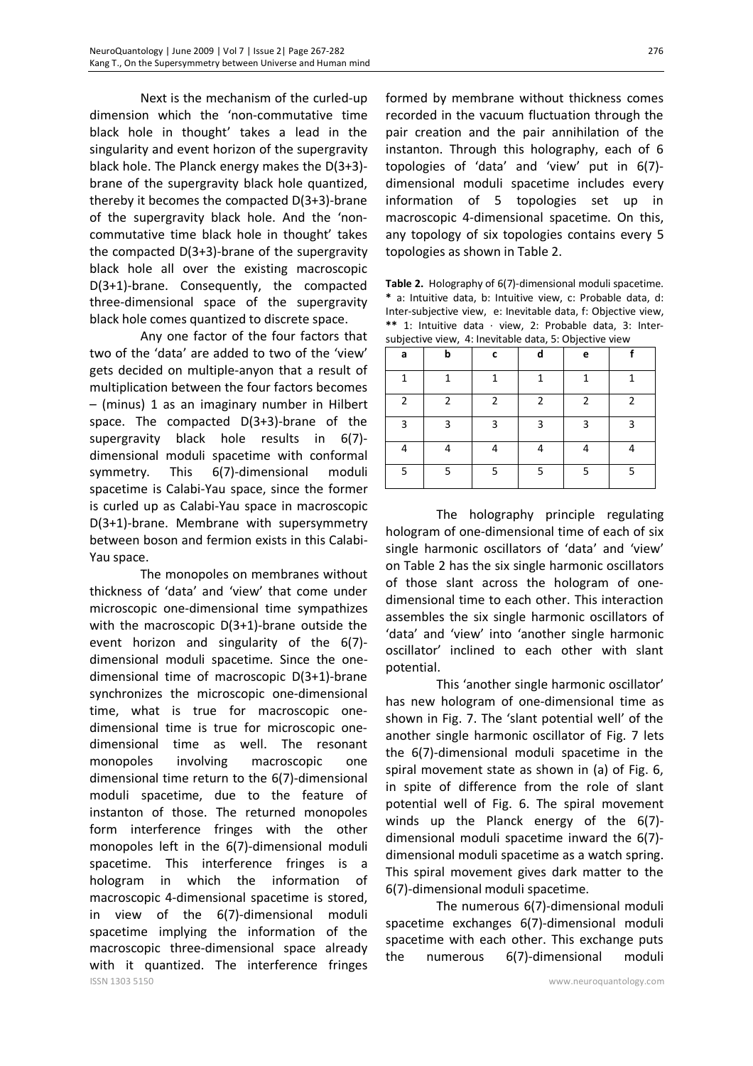Next is the mechanism of the curled-up dimension which the 'non-commutative time black hole in thought' takes a lead in the singularity and event horizon of the supergravity black hole. The Planck energy makes the D(3+3) brane of the supergravity black hole quantized, thereby it becomes the compacted D(3+3)-brane of the supergravity black hole. And the 'noncommutative time black hole in thought' takes the compacted D(3+3)-brane of the supergravity black hole all over the existing macroscopic D(3+1)-brane. Consequently, the compacted three-dimensional space of the supergravity black hole comes quantized to discrete space.

Any one factor of the four factors that two of the 'data' are added to two of the 'view' gets decided on multiple-anyon that a result of multiplication between the four factors becomes – (minus) 1 as an imaginary number in Hilbert space. The compacted D(3+3)-brane of the supergravity black hole results in 6(7) dimensional moduli spacetime with conformal symmetry. This 6(7)-dimensional moduli spacetime is Calabi-Yau space, since the former is curled up as Calabi-Yau space in macroscopic D(3+1)-brane. Membrane with supersymmetry between boson and fermion exists in this Calabi-Yau space.

ISSN 1303 5150 www.neuroquantology.com The monopoles on membranes without thickness of 'data' and 'view' that come under microscopic one-dimensional time sympathizes with the macroscopic D(3+1)-brane outside the event horizon and singularity of the 6(7) dimensional moduli spacetime. Since the onedimensional time of macroscopic D(3+1)-brane synchronizes the microscopic one-dimensional time, what is true for macroscopic onedimensional time is true for microscopic onedimensional time as well. The resonant monopoles involving macroscopic one dimensional time return to the 6(7)-dimensional moduli spacetime, due to the feature of instanton of those. The returned monopoles form interference fringes with the other monopoles left in the 6(7)-dimensional moduli spacetime. This interference fringes is a hologram in which the information of macroscopic 4-dimensional spacetime is stored, in view of the 6(7)-dimensional moduli spacetime implying the information of the macroscopic three-dimensional space already with it quantized. The interference fringes

formed by membrane without thickness comes recorded in the vacuum fluctuation through the pair creation and the pair annihilation of the instanton. Through this holography, each of 6 topologies of 'data' and 'view' put in 6(7) dimensional moduli spacetime includes every information of 5 topologies set up in macroscopic 4-dimensional spacetime. On this, any topology of six topologies contains every 5 topologies as shown in Table 2.

**Table 2.** Holography of 6(7)-dimensional moduli spacetime. **\*** a: Intuitive data, b: Intuitive view, c: Probable data, d: Inter-subjective view, e: Inevitable data, f: Objective view, **\*\*** 1: Intuitive data · view, 2: Probable data, 3: Intersubjective view, 4: Inevitable data, 5: Objective view

| a            | b              | c | d              | e            |              |
|--------------|----------------|---|----------------|--------------|--------------|
| $\mathbf{1}$ | 1              | 1 | $\mathbf{1}$   | $\mathbf{1}$ | $\mathbf{1}$ |
| 2            | $\overline{2}$ | 2 | $\overline{2}$ | 2            | 2            |
| 3            | 3              | 3 | $\overline{3}$ | 3            | 3            |
| 4            | 4              | 4 | 4              | 4            | 4            |
| 5            | 5              | 5 | 5              | 5            | 5            |

The holography principle regulating hologram of one-dimensional time of each of six single harmonic oscillators of 'data' and 'view' on Table 2 has the six single harmonic oscillators of those slant across the hologram of onedimensional time to each other. This interaction assembles the six single harmonic oscillators of 'data' and 'view' into 'another single harmonic oscillator' inclined to each other with slant potential.

This 'another single harmonic oscillator' has new hologram of one-dimensional time as shown in Fig. 7. The 'slant potential well' of the another single harmonic oscillator of Fig. 7 lets the 6(7)-dimensional moduli spacetime in the spiral movement state as shown in (a) of Fig. 6, in spite of difference from the role of slant potential well of Fig. 6. The spiral movement winds up the Planck energy of the 6(7) dimensional moduli spacetime inward the 6(7) dimensional moduli spacetime as a watch spring. This spiral movement gives dark matter to the 6(7)-dimensional moduli spacetime.

The numerous 6(7)-dimensional moduli spacetime exchanges 6(7)-dimensional moduli spacetime with each other. This exchange puts the numerous 6(7)-dimensional moduli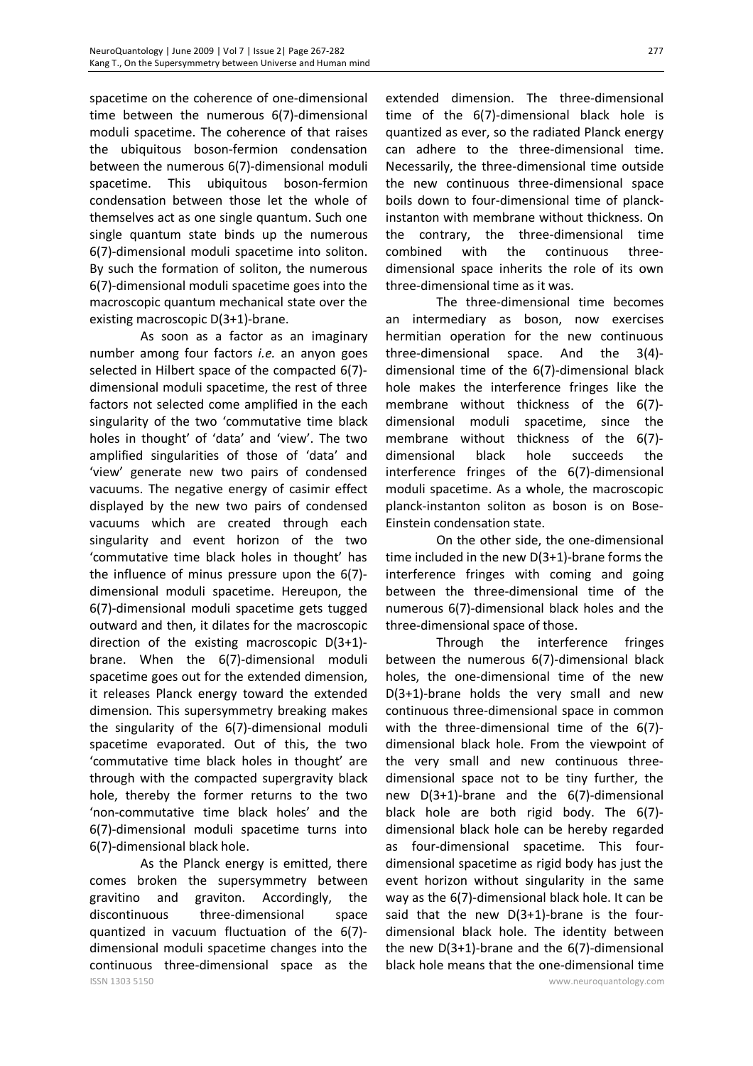spacetime on the coherence of one-dimensional time between the numerous 6(7)-dimensional moduli spacetime. The coherence of that raises the ubiquitous boson-fermion condensation between the numerous 6(7)-dimensional moduli spacetime. This ubiquitous boson-fermion condensation between those let the whole of themselves act as one single quantum. Such one single quantum state binds up the numerous 6(7)-dimensional moduli spacetime into soliton. By such the formation of soliton, the numerous 6(7)-dimensional moduli spacetime goes into the macroscopic quantum mechanical state over the existing macroscopic D(3+1)-brane.

As soon as a factor as an imaginary number among four factors *i.e.* an anyon goes selected in Hilbert space of the compacted 6(7) dimensional moduli spacetime, the rest of three factors not selected come amplified in the each singularity of the two 'commutative time black holes in thought' of 'data' and 'view'. The two amplified singularities of those of 'data' and 'view' generate new two pairs of condensed vacuums. The negative energy of casimir effect displayed by the new two pairs of condensed vacuums which are created through each singularity and event horizon of the two 'commutative time black holes in thought' has the influence of minus pressure upon the 6(7) dimensional moduli spacetime. Hereupon, the 6(7)-dimensional moduli spacetime gets tugged outward and then, it dilates for the macroscopic direction of the existing macroscopic D(3+1) brane. When the 6(7)-dimensional moduli spacetime goes out for the extended dimension, it releases Planck energy toward the extended dimension. This supersymmetry breaking makes the singularity of the 6(7)-dimensional moduli spacetime evaporated. Out of this, the two 'commutative time black holes in thought' are through with the compacted supergravity black hole, thereby the former returns to the two 'non-commutative time black holes' and the 6(7)-dimensional moduli spacetime turns into 6(7)-dimensional black hole.

ISSN 1303 5150 www.neuroquantology.com As the Planck energy is emitted, there comes broken the supersymmetry between gravitino and graviton. Accordingly, the discontinuous three-dimensional space quantized in vacuum fluctuation of the 6(7) dimensional moduli spacetime changes into the continuous three-dimensional space as the

extended dimension. The three-dimensional time of the 6(7)-dimensional black hole is quantized as ever, so the radiated Planck energy can adhere to the three-dimensional time. Necessarily, the three-dimensional time outside the new continuous three-dimensional space boils down to four-dimensional time of planckinstanton with membrane without thickness. On the contrary, the three-dimensional time combined with the continuous threedimensional space inherits the role of its own three-dimensional time as it was.

The three-dimensional time becomes an intermediary as boson, now exercises hermitian operation for the new continuous three-dimensional space. And the 3(4) dimensional time of the 6(7)-dimensional black hole makes the interference fringes like the membrane without thickness of the 6(7) dimensional moduli spacetime, since the membrane without thickness of the 6(7) dimensional black hole succeeds the interference fringes of the 6(7)-dimensional moduli spacetime. As a whole, the macroscopic planck-instanton soliton as boson is on Bose-Einstein condensation state.

On the other side, the one-dimensional time included in the new D(3+1)-brane forms the interference fringes with coming and going between the three-dimensional time of the numerous 6(7)-dimensional black holes and the three-dimensional space of those.

Through the interference fringes between the numerous 6(7)-dimensional black holes, the one-dimensional time of the new D(3+1)-brane holds the very small and new continuous three-dimensional space in common with the three-dimensional time of the 6(7) dimensional black hole. From the viewpoint of the very small and new continuous threedimensional space not to be tiny further, the new D(3+1)-brane and the 6(7)-dimensional black hole are both rigid body. The 6(7) dimensional black hole can be hereby regarded as four-dimensional spacetime. This fourdimensional spacetime as rigid body has just the event horizon without singularity in the same way as the 6(7)-dimensional black hole. It can be said that the new  $D(3+1)$ -brane is the fourdimensional black hole. The identity between the new D(3+1)-brane and the 6(7)-dimensional black hole means that the one-dimensional time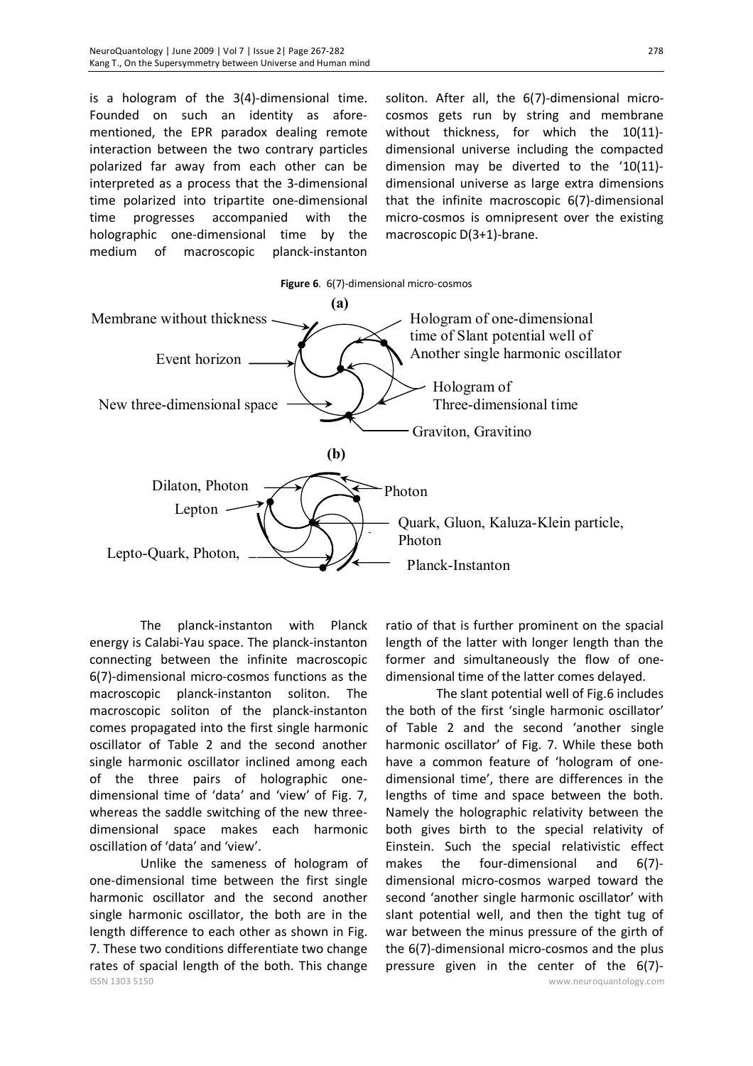is a hologram of the 3(4)-dimensional time. Founded on such an identity as aforementioned, the EPR paradox dealing remote interaction between the two contrary particles polarized far away from each other can be interpreted as a process that the 3-dimensional time polarized into tripartite one-dimensional time progresses accompanied with the holographic one-dimensional time by the medium of macroscopic planck-instanton

soliton. After all, the 6(7)-dimensional microcosmos gets run by string and membrane without thickness, for which the 10(11) dimensional universe including the compacted dimension may be diverted to the '10(11) dimensional universe as large extra dimensions that the infinite macroscopic 6(7)-dimensional micro-cosmos is omnipresent over the existing macroscopic D(3+1)-brane.

![](_page_11_Figure_3.jpeg)

The planck-instanton with Planck energy is Calabi-Yau space. The planck-instanton connecting between the infinite macroscopic 6(7)-dimensional micro-cosmos functions as the macroscopic planck-instanton soliton. The macroscopic soliton of the planck-instanton comes propagated into the first single harmonic oscillator of Table 2 and the second another single harmonic oscillator inclined among each of the three pairs of holographic onedimensional time of 'data' and 'view' of Fig. 7, whereas the saddle switching of the new threedimensional space makes each harmonic oscillation of 'data' and 'view'.

ISSN 1303 5150 www.neuroquantology.com Unlike the sameness of hologram of one-dimensional time between the first single harmonic oscillator and the second another single harmonic oscillator, the both are in the length difference to each other as shown in Fig. 7. These two conditions differentiate two change rates of spacial length of the both. This change

ratio of that is further prominent on the spacial length of the latter with longer length than the former and simultaneously the flow of onedimensional time of the latter comes delayed.

The slant potential well of Fig.6 includes the both of the first 'single harmonic oscillator' of Table 2 and the second 'another single harmonic oscillator' of Fig. 7. While these both have a common feature of 'hologram of onedimensional time', there are differences in the lengths of time and space between the both. Namely the holographic relativity between the both gives birth to the special relativity of Einstein. Such the special relativistic effect makes the four-dimensional and 6(7) dimensional micro-cosmos warped toward the second 'another single harmonic oscillator' with slant potential well, and then the tight tug of war between the minus pressure of the girth of the 6(7)-dimensional micro-cosmos and the plus pressure given in the center of the 6(7)-

278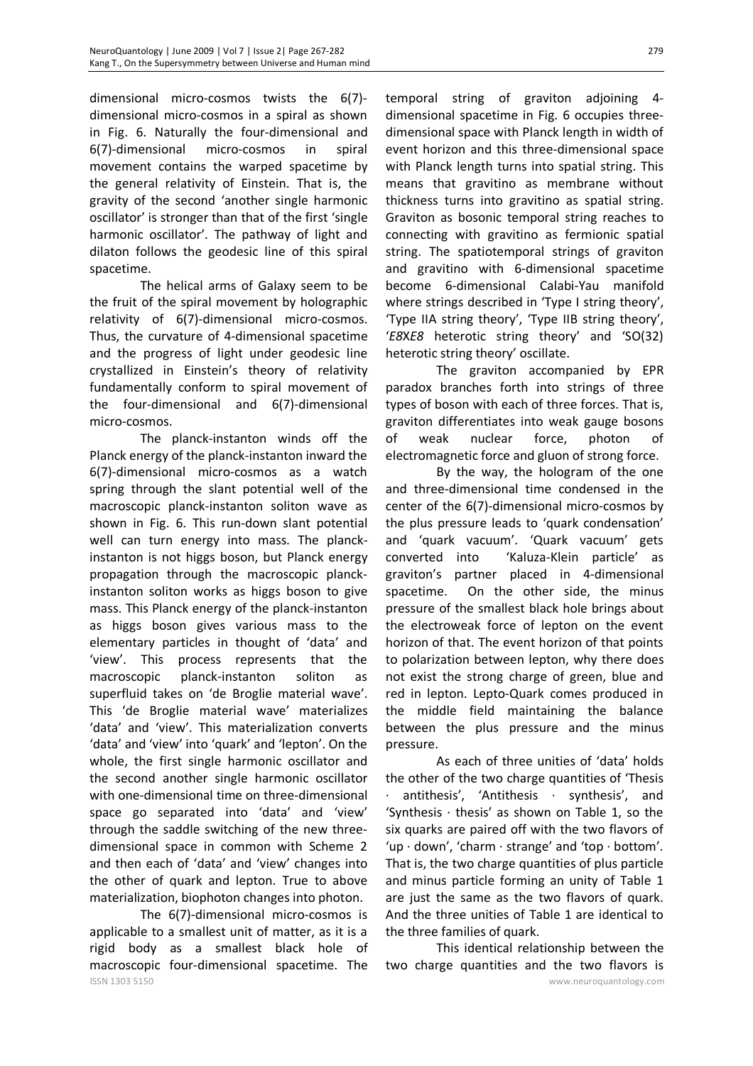dimensional micro-cosmos twists the 6(7) dimensional micro-cosmos in a spiral as shown in Fig. 6. Naturally the four-dimensional and 6(7)-dimensional micro-cosmos in spiral movement contains the warped spacetime by the general relativity of Einstein. That is, the gravity of the second 'another single harmonic oscillator' is stronger than that of the first 'single harmonic oscillator'. The pathway of light and dilaton follows the geodesic line of this spiral spacetime.

The helical arms of Galaxy seem to be the fruit of the spiral movement by holographic relativity of 6(7)-dimensional micro-cosmos. Thus, the curvature of 4-dimensional spacetime and the progress of light under geodesic line crystallized in Einstein's theory of relativity fundamentally conform to spiral movement of the four-dimensional and 6(7)-dimensional micro-cosmos.

The planck-instanton winds off the Planck energy of the planck-instanton inward the 6(7)-dimensional micro-cosmos as a watch spring through the slant potential well of the macroscopic planck-instanton soliton wave as shown in Fig. 6. This run-down slant potential well can turn energy into mass. The planckinstanton is not higgs boson, but Planck energy propagation through the macroscopic planckinstanton soliton works as higgs boson to give mass. This Planck energy of the planck-instanton as higgs boson gives various mass to the elementary particles in thought of 'data' and 'view'. This process represents that the macroscopic planck-instanton soliton as superfluid takes on 'de Broglie material wave'. This 'de Broglie material wave' materializes 'data' and 'view'. This materialization converts 'data' and 'view' into 'quark' and 'lepton'. On the whole, the first single harmonic oscillator and the second another single harmonic oscillator with one-dimensional time on three-dimensional space go separated into 'data' and 'view' through the saddle switching of the new threedimensional space in common with Scheme 2 and then each of 'data' and 'view' changes into the other of quark and lepton. True to above materialization, biophoton changes into photon.

ISSN 1303 5150 www.neuroquantology.com The 6(7)-dimensional micro-cosmos is applicable to a smallest unit of matter, as it is a rigid body as a smallest black hole of macroscopic four-dimensional spacetime. The

temporal string of graviton adjoining 4 dimensional spacetime in Fig. 6 occupies threedimensional space with Planck length in width of event horizon and this three-dimensional space with Planck length turns into spatial string. This means that gravitino as membrane without thickness turns into gravitino as spatial string. Graviton as bosonic temporal string reaches to connecting with gravitino as fermionic spatial string. The spatiotemporal strings of graviton and gravitino with 6-dimensional spacetime become 6-dimensional Calabi-Yau manifold where strings described in 'Type I string theory', 'Type IIA string theory', 'Type IIB string theory', '*E8*X*E8* heterotic string theory' and 'SO(32) heterotic string theory' oscillate.

The graviton accompanied by EPR paradox branches forth into strings of three types of boson with each of three forces. That is, graviton differentiates into weak gauge bosons of weak nuclear force, photon of electromagnetic force and gluon of strong force.

By the way, the hologram of the one and three-dimensional time condensed in the center of the 6(7)-dimensional micro-cosmos by the plus pressure leads to 'quark condensation' and 'quark vacuum'. 'Quark vacuum' gets converted into 'Kaluza-Klein particle' as graviton's partner placed in 4-dimensional spacetime. On the other side, the minus pressure of the smallest black hole brings about the electroweak force of lepton on the event horizon of that. The event horizon of that points to polarization between lepton, why there does not exist the strong charge of green, blue and red in lepton. Lepto-Quark comes produced in the middle field maintaining the balance between the plus pressure and the minus pressure.

As each of three unities of 'data' holds the other of the two charge quantities of 'Thesis · antithesis', 'Antithesis · synthesis', and 'Synthesis  $\cdot$  thesis' as shown on Table 1, so the six quarks are paired off with the two flavors of 'up · down', 'charm · strange' and 'top · bottom'. That is, the two charge quantities of plus particle and minus particle forming an unity of Table 1 are just the same as the two flavors of quark. And the three unities of Table 1 are identical to the three families of quark.

This identical relationship between the two charge quantities and the two flavors is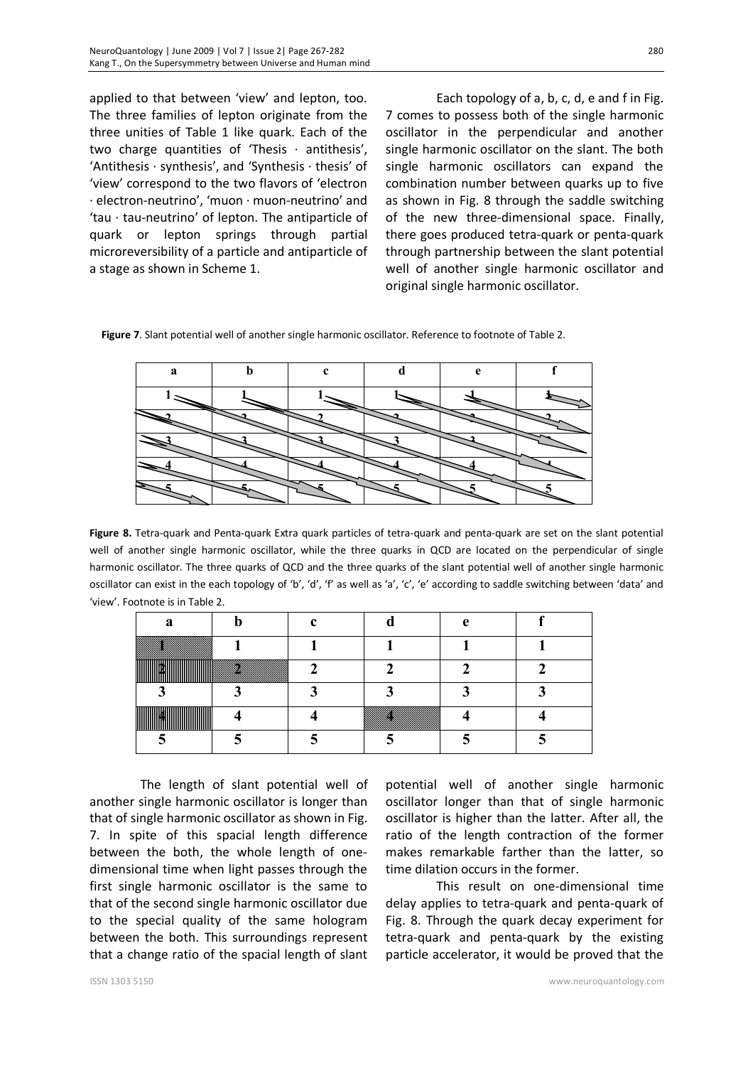applied to that between 'view' and lepton, too. The three families of lepton originate from the three unities of Table 1 like quark. Each of the two charge quantities of 'Thesis  $\cdot$  antithesis', 'Antithesis · synthesis', and 'Synthesis · thesis' of 'view' correspond to the two flavors of 'electron · electron-neutrino', 'muon · muon-neutrino' and 'tau · tau-neutrino' of lepton. The antiparticle of quark or lepton springs through partial microreversibility of a particle and antiparticle of

a stage as shown in Scheme 1.

Each topology of a, b, c, d, e and f in Fig. 7 comes to possess both of the single harmonic oscillator in the perpendicular and another single harmonic oscillator on the slant. The both single harmonic oscillators can expand the combination number between quarks up to five as shown in Fig. 8 through the saddle switching of the new three-dimensional space. Finally, there goes produced tetra-quark or penta-quark through partnership between the slant potential well of another single harmonic oscillator and original single harmonic oscillator.

**Figure 7**. Slant potential well of another single harmonic oscillator. Reference to footnote of Table 2.

| Я |  |  |  |
|---|--|--|--|
|   |  |  |  |
|   |  |  |  |
|   |  |  |  |
|   |  |  |  |
|   |  |  |  |

**Figure 8.** Tetra-quark and Penta-quark Extra quark particles of tetra-quark and penta-quark are set on the slant potential well of another single harmonic oscillator, while the three quarks in QCD are located on the perpendicular of single harmonic oscillator. The three quarks of QCD and the three quarks of the slant potential well of another single harmonic oscillator can exist in the each topology of 'b', 'd', 'f' as well as 'a', 'c', 'e' according to saddle switching between 'data' and 'view'. Footnote is in Table 2.

|                      |  | ∩ |  |
|----------------------|--|---|--|
|                      |  |   |  |
|                      |  |   |  |
|                      |  |   |  |
| ,,,,,,,,,,,,,,,<br>. |  |   |  |
|                      |  |   |  |

The length of slant potential well of another single harmonic oscillator is longer than that of single harmonic oscillator as shown in Fig. 7. In spite of this spacial length difference between the both, the whole length of onedimensional time when light passes through the first single harmonic oscillator is the same to that of the second single harmonic oscillator due to the special quality of the same hologram between the both. This surroundings represent that a change ratio of the spacial length of slant

potential well of another single harmonic oscillator longer than that of single harmonic oscillator is higher than the latter. After all, the ratio of the length contraction of the former makes remarkable farther than the latter, so time dilation occurs in the former.

This result on one-dimensional time delay applies to tetra-quark and penta-quark of Fig. 8. Through the quark decay experiment for tetra-quark and penta-quark by the existing particle accelerator, it would be proved that the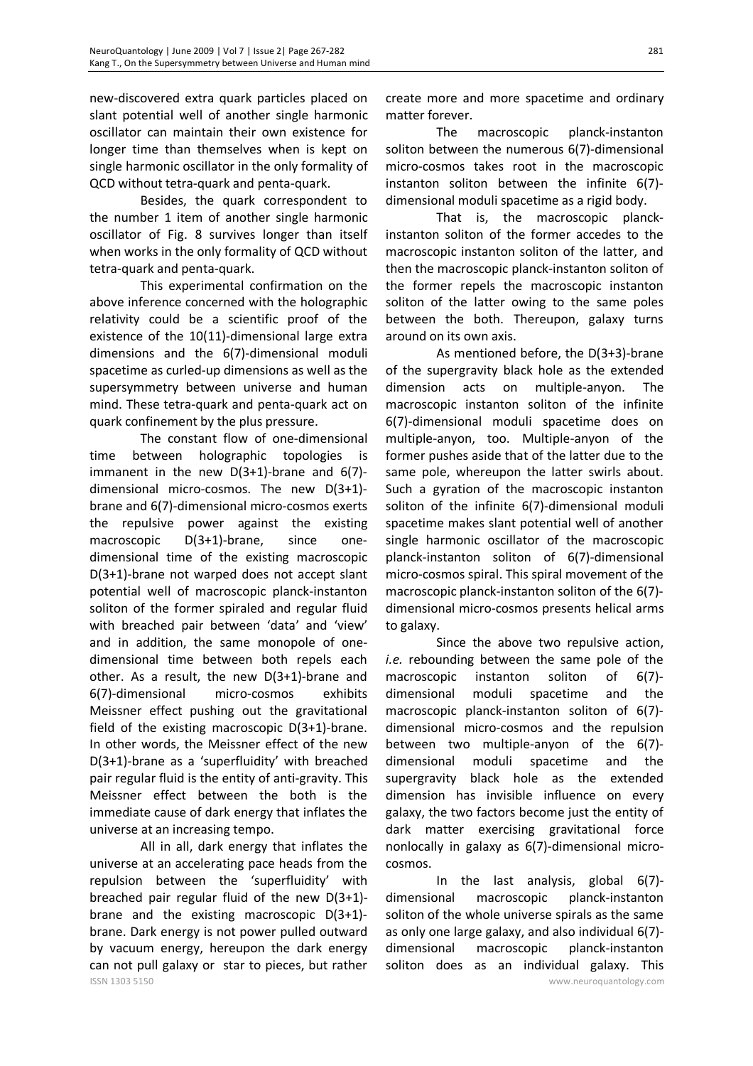new-discovered extra quark particles placed on slant potential well of another single harmonic oscillator can maintain their own existence for longer time than themselves when is kept on single harmonic oscillator in the only formality of QCD without tetra-quark and penta-quark.

Besides, the quark correspondent to the number 1 item of another single harmonic oscillator of Fig. 8 survives longer than itself when works in the only formality of QCD without tetra-quark and penta-quark.

This experimental confirmation on the above inference concerned with the holographic relativity could be a scientific proof of the existence of the 10(11)-dimensional large extra dimensions and the 6(7)-dimensional moduli spacetime as curled-up dimensions as well as the supersymmetry between universe and human mind. These tetra-quark and penta-quark act on quark confinement by the plus pressure.

The constant flow of one-dimensional time between holographic topologies is immanent in the new D(3+1)-brane and 6(7) dimensional micro-cosmos. The new D(3+1) brane and 6(7)-dimensional micro-cosmos exerts the repulsive power against the existing macroscopic D(3+1)-brane, since onedimensional time of the existing macroscopic D(3+1)-brane not warped does not accept slant potential well of macroscopic planck-instanton soliton of the former spiraled and regular fluid with breached pair between 'data' and 'view' and in addition, the same monopole of onedimensional time between both repels each other. As a result, the new D(3+1)-brane and 6(7)-dimensional micro-cosmos exhibits Meissner effect pushing out the gravitational field of the existing macroscopic D(3+1)-brane. In other words, the Meissner effect of the new D(3+1)-brane as a 'superfluidity' with breached pair regular fluid is the entity of anti-gravity. This Meissner effect between the both is the immediate cause of dark energy that inflates the universe at an increasing tempo.

ISSN 1303 5150 www.neuroquantology.com All in all, dark energy that inflates the universe at an accelerating pace heads from the repulsion between the 'superfluidity' with breached pair regular fluid of the new D(3+1) brane and the existing macroscopic D(3+1) brane. Dark energy is not power pulled outward by vacuum energy, hereupon the dark energy can not pull galaxy or star to pieces, but rather

create more and more spacetime and ordinary matter forever.

The macroscopic planck-instanton soliton between the numerous 6(7)-dimensional micro-cosmos takes root in the macroscopic instanton soliton between the infinite 6(7) dimensional moduli spacetime as a rigid body.

That is, the macroscopic planckinstanton soliton of the former accedes to the macroscopic instanton soliton of the latter, and then the macroscopic planck-instanton soliton of the former repels the macroscopic instanton soliton of the latter owing to the same poles between the both. Thereupon, galaxy turns around on its own axis.

As mentioned before, the D(3+3)-brane of the supergravity black hole as the extended dimension acts on multiple-anyon. The macroscopic instanton soliton of the infinite 6(7)-dimensional moduli spacetime does on multiple-anyon, too. Multiple-anyon of the former pushes aside that of the latter due to the same pole, whereupon the latter swirls about. Such a gyration of the macroscopic instanton soliton of the infinite 6(7)-dimensional moduli spacetime makes slant potential well of another single harmonic oscillator of the macroscopic planck-instanton soliton of 6(7)-dimensional micro-cosmos spiral. This spiral movement of the macroscopic planck-instanton soliton of the 6(7) dimensional micro-cosmos presents helical arms to galaxy.

Since the above two repulsive action, *i.e.* rebounding between the same pole of the macroscopic instanton soliton of 6(7) dimensional moduli spacetime and the macroscopic planck-instanton soliton of 6(7) dimensional micro-cosmos and the repulsion between two multiple-anyon of the 6(7) dimensional moduli spacetime and the supergravity black hole as the extended dimension has invisible influence on every galaxy, the two factors become just the entity of dark matter exercising gravitational force nonlocally in galaxy as 6(7)-dimensional microcosmos.

In the last analysis, global 6(7) dimensional macroscopic planck-instanton soliton of the whole universe spirals as the same as only one large galaxy, and also individual 6(7) dimensional macroscopic planck-instanton soliton does as an individual galaxy. This